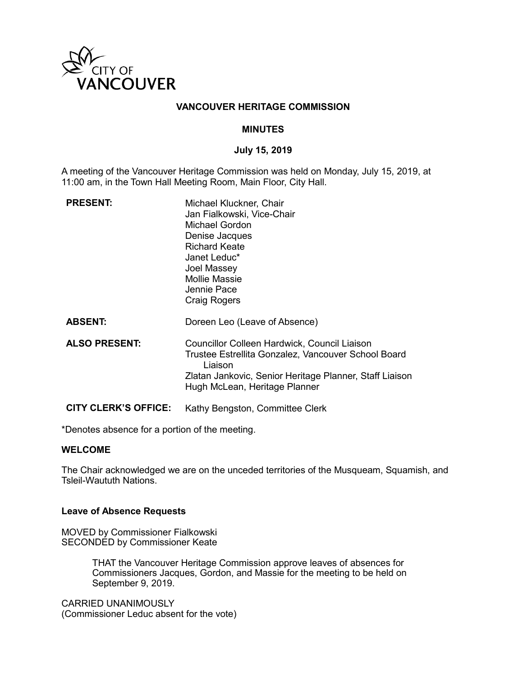

### **VANCOUVER HERITAGE COMMISSION**

### **MINUTES**

### **July 15, 2019**

A meeting of the Vancouver Heritage Commission was held on Monday, July 15, 2019, at 11:00 am, in the Town Hall Meeting Room, Main Floor, City Hall.

| <b>PRESENT:</b>             | Michael Kluckner, Chair<br>Jan Fialkowski, Vice-Chair<br>Michael Gordon<br>Denise Jacques<br><b>Richard Keate</b><br>Janet Leduc*<br>Joel Massey<br><b>Mollie Massie</b><br>Jennie Pace<br>Craig Rogers    |
|-----------------------------|------------------------------------------------------------------------------------------------------------------------------------------------------------------------------------------------------------|
| <b>ABSENT:</b>              | Doreen Leo (Leave of Absence)                                                                                                                                                                              |
| <b>ALSO PRESENT:</b>        | Councillor Colleen Hardwick, Council Liaison<br>Trustee Estrellita Gonzalez, Vancouver School Board<br>Liaison<br>Zlatan Jankovic, Senior Heritage Planner, Staff Liaison<br>Hugh McLean, Heritage Planner |
| <b>CITY CLERK'S OFFICE:</b> | Kathy Bengston, Committee Clerk                                                                                                                                                                            |

\*Denotes absence for a portion of the meeting.

#### **WELCOME**

The Chair acknowledged we are on the unceded territories of the Musqueam, Squamish, and Tsleil-Waututh Nations.

## **Leave of Absence Requests**

MOVED by Commissioner Fialkowski SECONDED by Commissioner Keate

> THAT the Vancouver Heritage Commission approve leaves of absences for Commissioners Jacques, Gordon, and Massie for the meeting to be held on September 9, 2019.

CARRIED UNANIMOUSLY (Commissioner Leduc absent for the vote)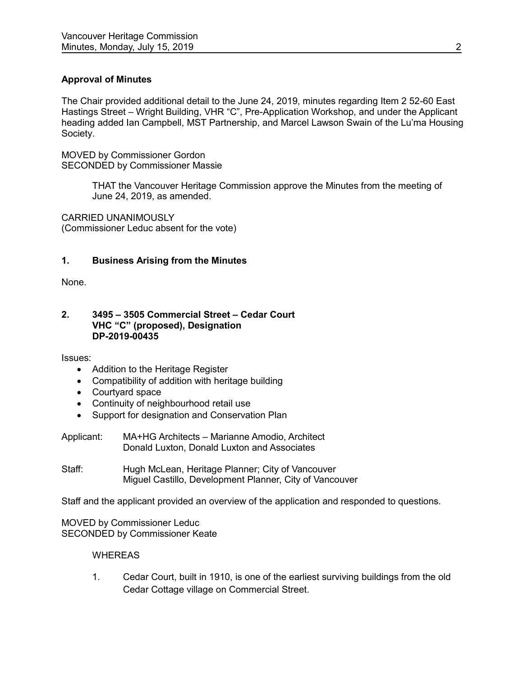# **Approval of Minutes**

The Chair provided additional detail to the June 24, 2019, minutes regarding Item 2 52-60 East Hastings Street – Wright Building, VHR "C", Pre-Application Workshop, and under the Applicant heading added Ian Campbell, MST Partnership, and Marcel Lawson Swain of the Lu'ma Housing Society.

MOVED by Commissioner Gordon SECONDED by Commissioner Massie

> THAT the Vancouver Heritage Commission approve the Minutes from the meeting of June 24, 2019, as amended.

CARRIED UNANIMOUSLY (Commissioner Leduc absent for the vote)

## **1. Business Arising from the Minutes**

None.

#### **2. 3495 – 3505 Commercial Street – Cedar Court VHC "C" (proposed), Designation DP-2019-00435**

Issues:

- Addition to the Heritage Register
- Compatibility of addition with heritage building
- Courtyard space
- Continuity of neighbourhood retail use
- Support for designation and Conservation Plan
- Applicant: MA+HG Architects Marianne Amodio, Architect Donald Luxton, Donald Luxton and Associates
- Staff: Hugh McLean, Heritage Planner; City of Vancouver Miguel Castillo, Development Planner, City of Vancouver

Staff and the applicant provided an overview of the application and responded to questions.

MOVED by Commissioner Leduc SECONDED by Commissioner Keate

#### **WHEREAS**

1. Cedar Court, built in 1910, is one of the earliest surviving buildings from the old Cedar Cottage village on Commercial Street.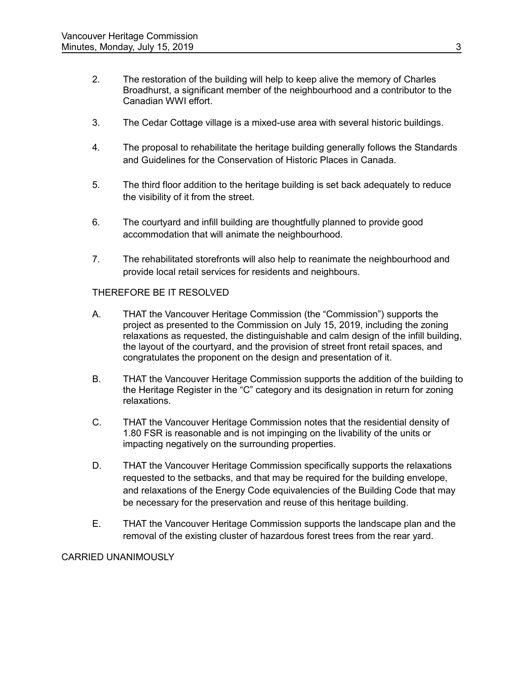- 2. The restoration of the building will help to keep alive the memory of Charles Broadhurst, a significant member of the neighbourhood and a contributor to the Canadian WWI effort.
- 3. The Cedar Cottage village is a mixed-use area with several historic buildings.
- 4. The proposal to rehabilitate the heritage building generally follows the Standards and Guidelines for the Conservation of Historic Places in Canada.
- 5. The third floor addition to the heritage building is set back adequately to reduce the visibility of it from the street.
- 6. The courtyard and infill building are thoughtfully planned to provide good accommodation that will animate the neighbourhood.
- 7. The rehabilitated storefronts will also help to reanimate the neighbourhood and provide local retail services for residents and neighbours.

# THEREFORE BE IT RESOLVED

- A. THAT the Vancouver Heritage Commission (the "Commission") supports the project as presented to the Commission on July 15, 2019, including the zoning relaxations as requested, the distinguishable and calm design of the infill building, the layout of the courtyard, and the provision of street front retail spaces, and congratulates the proponent on the design and presentation of it.
- B. THAT the Vancouver Heritage Commission supports the addition of the building to the Heritage Register in the "C" category and its designation in return for zoning relaxations.
- C. THAT the Vancouver Heritage Commission notes that the residential density of 1.80 FSR is reasonable and is not impinging on the livability of the units or impacting negatively on the surrounding properties.
- D. THAT the Vancouver Heritage Commission specifically supports the relaxations requested to the setbacks, and that may be required for the building envelope, and relaxations of the Energy Code equivalencies of the Building Code that may be necessary for the preservation and reuse of this heritage building.
- E. THAT the Vancouver Heritage Commission supports the landscape plan and the removal of the existing cluster of hazardous forest trees from the rear yard.

# CARRIED UNANIMOUSLY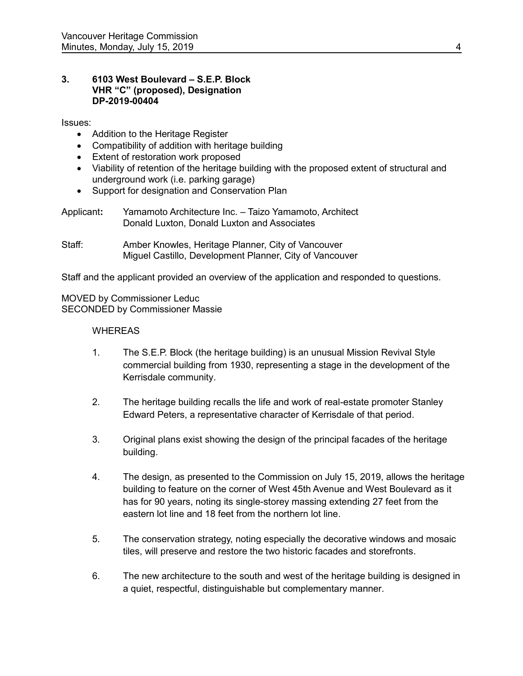### **3. 6103 West Boulevard – S.E.P. Block VHR "C" (proposed), Designation DP-2019-00404**

Issues:

- Addition to the Heritage Register
- Compatibility of addition with heritage building
- Extent of restoration work proposed
- Viability of retention of the heritage building with the proposed extent of structural and underground work (i.e. parking garage)
- Support for designation and Conservation Plan

| Applicant: | Yamamoto Architecture Inc. - Taizo Yamamoto, Architect |
|------------|--------------------------------------------------------|
|            | Donald Luxton, Donald Luxton and Associates            |

Staff: Amber Knowles, Heritage Planner, City of Vancouver Miguel Castillo, Development Planner, City of Vancouver

Staff and the applicant provided an overview of the application and responded to questions.

MOVED by Commissioner Leduc SECONDED by Commissioner Massie

# **WHEREAS**

- 1. The S.E.P. Block (the heritage building) is an unusual Mission Revival Style commercial building from 1930, representing a stage in the development of the Kerrisdale community.
- 2. The heritage building recalls the life and work of real-estate promoter Stanley Edward Peters, a representative character of Kerrisdale of that period.
- 3. Original plans exist showing the design of the principal facades of the heritage building.
- 4. The design, as presented to the Commission on July 15, 2019, allows the heritage building to feature on the corner of West 45th Avenue and West Boulevard as it has for 90 years, noting its single-storey massing extending 27 feet from the eastern lot line and 18 feet from the northern lot line.
- 5. The conservation strategy, noting especially the decorative windows and mosaic tiles, will preserve and restore the two historic facades and storefronts.
- 6. The new architecture to the south and west of the heritage building is designed in a quiet, respectful, distinguishable but complementary manner.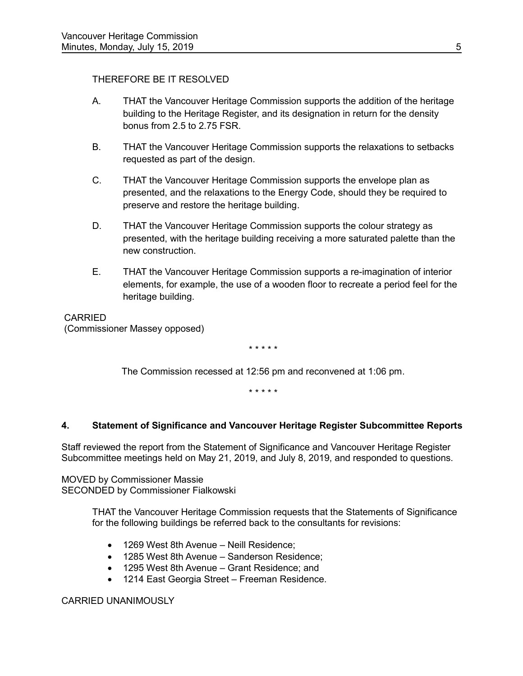# THEREFORE BE IT RESOLVED

- A. THAT the Vancouver Heritage Commission supports the addition of the heritage building to the Heritage Register, and its designation in return for the density bonus from 2.5 to 2.75 FSR.
- B. THAT the Vancouver Heritage Commission supports the relaxations to setbacks requested as part of the design.
- C. THAT the Vancouver Heritage Commission supports the envelope plan as presented, and the relaxations to the Energy Code, should they be required to preserve and restore the heritage building.
- D. THAT the Vancouver Heritage Commission supports the colour strategy as presented, with the heritage building receiving a more saturated palette than the new construction.
- E. THAT the Vancouver Heritage Commission supports a re-imagination of interior elements, for example, the use of a wooden floor to recreate a period feel for the heritage building.

 CARRIED (Commissioner Massey opposed)

\* \* \* \* \*

The Commission recessed at 12:56 pm and reconvened at 1:06 pm.

\* \* \* \* \*

# **4. Statement of Significance and Vancouver Heritage Register Subcommittee Reports**

Staff reviewed the report from the Statement of Significance and Vancouver Heritage Register Subcommittee meetings held on May 21, 2019, and July 8, 2019, and responded to questions.

MOVED by Commissioner Massie SECONDED by Commissioner Fialkowski

> THAT the Vancouver Heritage Commission requests that the Statements of Significance for the following buildings be referred back to the consultants for revisions:

- 1269 West 8th Avenue Neill Residence:
- 1285 West 8th Avenue Sanderson Residence:
- 1295 West 8th Avenue Grant Residence; and
- 1214 East Georgia Street Freeman Residence.

## CARRIED UNANIMOUSLY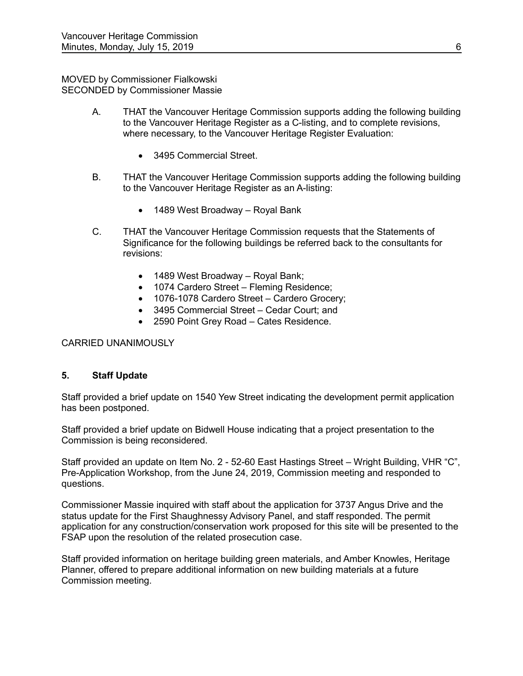### MOVED by Commissioner Fialkowski SECONDED by Commissioner Massie

- A. THAT the Vancouver Heritage Commission supports adding the following building to the Vancouver Heritage Register as a C-listing, and to complete revisions, where necessary, to the Vancouver Heritage Register Evaluation:
	- 3495 Commercial Street.
- B. THAT the Vancouver Heritage Commission supports adding the following building to the Vancouver Heritage Register as an A-listing:
	- 1489 West Broadway Royal Bank
- C. THAT the Vancouver Heritage Commission requests that the Statements of Significance for the following buildings be referred back to the consultants for revisions:
	- 1489 West Broadway Royal Bank;
	- 1074 Cardero Street Fleming Residence;
	- 1076-1078 Cardero Street Cardero Grocery;
	- 3495 Commercial Street Cedar Court; and
	- 2590 Point Grey Road Cates Residence.

# CARRIED UNANIMOUSLY

# **5. Staff Update**

Staff provided a brief update on 1540 Yew Street indicating the development permit application has been postponed.

Staff provided a brief update on Bidwell House indicating that a project presentation to the Commission is being reconsidered.

Staff provided an update on Item No. 2 - 52-60 East Hastings Street – Wright Building, VHR "C", Pre-Application Workshop, from the June 24, 2019, Commission meeting and responded to questions.

Commissioner Massie inquired with staff about the application for 3737 Angus Drive and the status update for the First Shaughnessy Advisory Panel, and staff responded. The permit application for any construction/conservation work proposed for this site will be presented to the FSAP upon the resolution of the related prosecution case.

Staff provided information on heritage building green materials, and Amber Knowles, Heritage Planner, offered to prepare additional information on new building materials at a future Commission meeting.